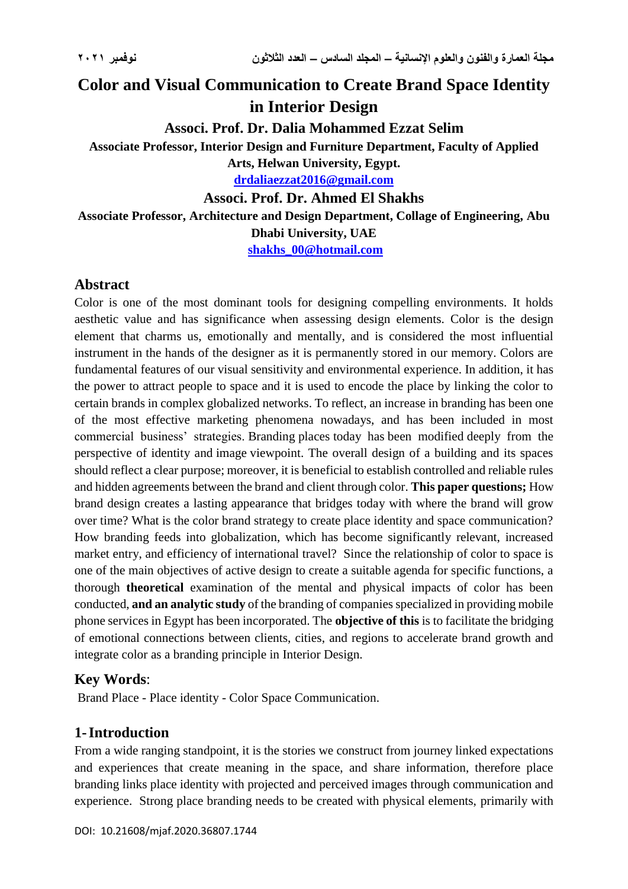# **Color and Visual Communication to Create Brand Space Identity in Interior Design**

**Associ. Prof. Dr. Dalia Mohammed Ezzat Selim**

**Associate Professor, Interior Design and Furniture Department, Faculty of Applied** 

**Arts, Helwan University, Egypt. [drdaliaezzat2016@gmail.com](mailto:drdaliaezzat2016@gmail.com)**

**Associ. Prof. Dr. Ahmed El Shakhs**

**Associate Professor, Architecture and Design Department, Collage of Engineering, Abu Dhabi University, UAE**

**[shakhs\\_00@hotmail.com](mailto:shakhs_00@hotmail.com)**

# **Abstract**

Color is one of the most dominant tools for designing compelling environments. It holds aesthetic value and has significance when assessing design elements. Color is the design element that charms us, emotionally and mentally, and is considered the most influential instrument in the hands of the designer as it is permanently stored in our memory. Colors are fundamental features of our visual sensitivity and environmental experience. In addition, it has the power to attract people to space and it is used to encode the place by linking the color to certain brands in complex globalized networks. To reflect, an increase in branding has been one of the most effective marketing phenomena nowadays, and has been included in most commercial business' strategies. Branding places today has been modified deeply from the perspective of identity and image viewpoint. The overall design of a building and its spaces should reflect a clear purpose; moreover, it is beneficial to establish controlled and reliable rules and hidden agreements between the brand and client through color. **This paper questions;** How brand design creates a lasting appearance that bridges today with where the brand will grow over time? What is the color brand strategy to create place identity and space communication? How branding feeds into globalization, which has become significantly relevant, increased market entry, and efficiency of international travel? Since the relationship of color to space is one of the main objectives of active design to create a suitable agenda for specific functions, a thorough **theoretical** examination of the mental and physical impacts of color has been conducted, **and an analytic study** of the branding of companies specialized in providing mobile phone services in Egypt has been incorporated. The **objective of this** is to facilitate the bridging of emotional connections between clients, cities, and regions to accelerate brand growth and integrate color as a branding principle in Interior Design.

# **Key Words**:

Brand Place - Place identity - Color Space Communication.

# **1-Introduction**

From a wide ranging standpoint, it is the stories we construct from journey linked expectations and experiences that create meaning in the space, and share information, therefore place branding links place identity with projected and perceived images through communication and experience. Strong place branding needs to be created with physical elements, primarily with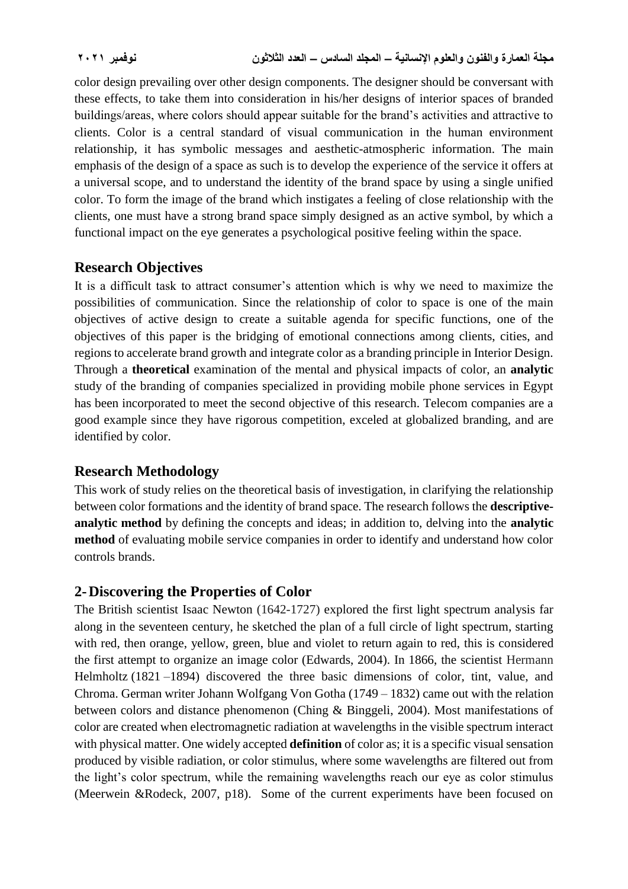color design prevailing over other design components. The designer should be conversant with these effects, to take them into consideration in his/her designs of interior spaces of branded buildings/areas, where colors should appear suitable for the brand's activities and attractive to clients. Color is a central standard of visual communication in the human environment relationship, it has symbolic messages and aesthetic-atmospheric information. The main emphasis of the design of a space as such is to develop the experience of the service it offers at a universal scope, and to understand the identity of the brand space by using a single unified color. To form the image of the brand which instigates a feeling of close relationship with the clients, one must have a strong brand space simply designed as an active symbol, by which a functional impact on the eye generates a psychological positive feeling within the space.

## **Research Objectives**

It is a difficult task to attract consumer's attention which is why we need to maximize the possibilities of communication. Since the relationship of color to space is one of the main objectives of active design to create a suitable agenda for specific functions, one of the objectives of this paper is the bridging of emotional connections among clients, cities, and regions to accelerate brand growth and integrate color as a branding principle in Interior Design. Through a **theoretical** examination of the mental and physical impacts of color, an **analytic**  study of the branding of companies specialized in providing mobile phone services in Egypt has been incorporated to meet the second objective of this research. Telecom companies are a good example since they have rigorous competition, exceled at globalized branding, and are identified by color.

## **Research Methodology**

This work of study relies on the theoretical basis of investigation, in clarifying the relationship between color formations and the identity of brand space. The research follows the **descriptiveanalytic method** by defining the concepts and ideas; in addition to, delving into the **analytic method** of evaluating mobile service companies in order to identify and understand how color controls brands.

## **2-Discovering the Properties of Color**

The British scientist Isaac Newton (1642-1727) explored the first light spectrum analysis far along in the seventeen century, he sketched the plan of a full circle of light spectrum, starting with red, then orange, yellow, green, blue and violet to return again to red, this is considered the first attempt to organize an image color (Edwards, 2004). In 1866, the scientist Hermann Helmholtz (1821 –1894) discovered the three basic dimensions of color, tint, value, and Chroma. German writer Johann Wolfgang Von Gotha (1749 – 1832) came out with the relation between colors and distance phenomenon (Ching & Binggeli, 2004). Most manifestations of color are created when electromagnetic radiation at wavelengths in the visible spectrum interact with physical matter. One widely accepted **definition** of color as; it is a specific visual sensation produced by visible radiation, or color stimulus, where some wavelengths are filtered out from the light's color spectrum, while the remaining wavelengths reach our eye as color stimulus (Meerwein &Rodeck, 2007, p18). Some of the current experiments have been focused on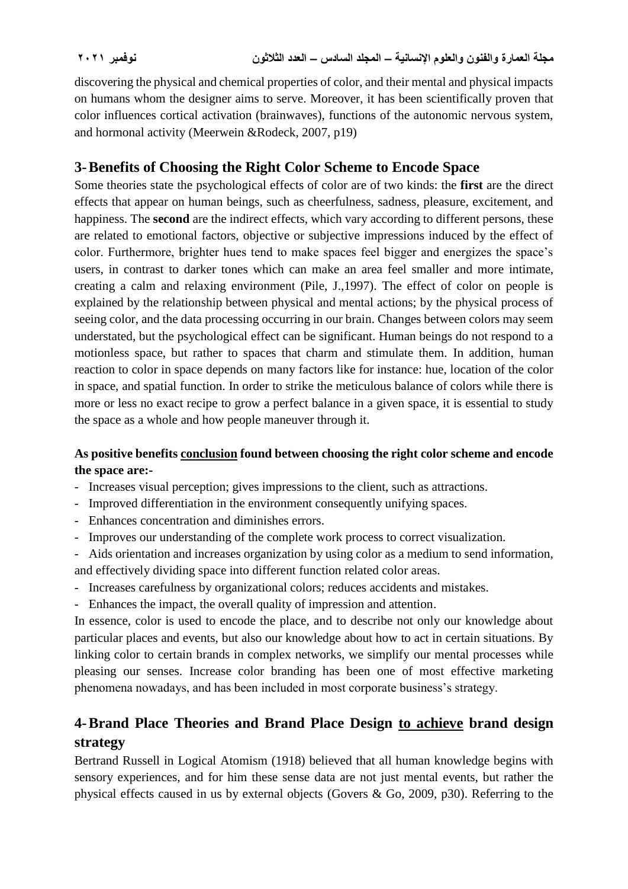discovering the physical and chemical properties of color, and their mental and physical impacts on humans whom the designer aims to serve. Moreover, it has been scientifically proven that color influences cortical activation (brainwaves), functions of the autonomic nervous system, and hormonal activity (Meerwein &Rodeck, 2007, p19)

## **3-Benefits of Choosing the Right Color Scheme to Encode Space**

Some theories state the psychological effects of color are of two kinds: the **first** are the direct effects that appear on human beings, such as cheerfulness, sadness, pleasure, excitement, and happiness. The **second** are the indirect effects, which vary according to different persons, these are related to emotional factors, objective or subjective impressions induced by the effect of color. Furthermore, brighter hues tend to make spaces feel bigger and energizes the space's users, in contrast to darker tones which can make an area feel smaller and more intimate, creating a calm and relaxing environment (Pile, J.,1997). The effect of color on people is explained by the relationship between physical and mental actions; by the physical process of seeing color, and the data processing occurring in our brain. Changes between colors may seem understated, but the psychological effect can be significant. Human beings do not respond to a motionless space, but rather to spaces that charm and stimulate them. In addition, human reaction to color in space depends on many factors like for instance: hue, location of the color in space, and spatial function. In order to strike the meticulous balance of colors while there is more or less no exact recipe to grow a perfect balance in a given space, it is essential to study the space as a whole and how people maneuver through it.

## **As positive benefits conclusion found between choosing the right color scheme and encode the space are:-**

- Increases visual perception; gives impressions to the client, such as attractions.
- Improved differentiation in the environment consequently unifying spaces.
- Enhances concentration and diminishes errors.
- Improves our understanding of the complete work process to correct visualization.
- Aids orientation and increases organization by using color as a medium to send information, and effectively dividing space into different function related color areas.
- Increases carefulness by organizational colors; reduces accidents and mistakes.
- Enhances the impact, the overall quality of impression and attention.

In essence, color is used to encode the place, and to describe not only our knowledge about particular places and events, but also our knowledge about how to act in certain situations. By linking color to certain brands in complex networks, we simplify our mental processes while pleasing our senses. Increase color branding has been one of most effective marketing phenomena nowadays, and has been included in most corporate business's strategy.

# **4-Brand Place Theories and Brand Place Design to achieve brand design strategy**

Bertrand Russell in Logical Atomism (1918) believed that all human knowledge begins with sensory experiences, and for him these sense data are not just mental events, but rather the physical effects caused in us by external objects (Govers & Go, 2009, p30). Referring to the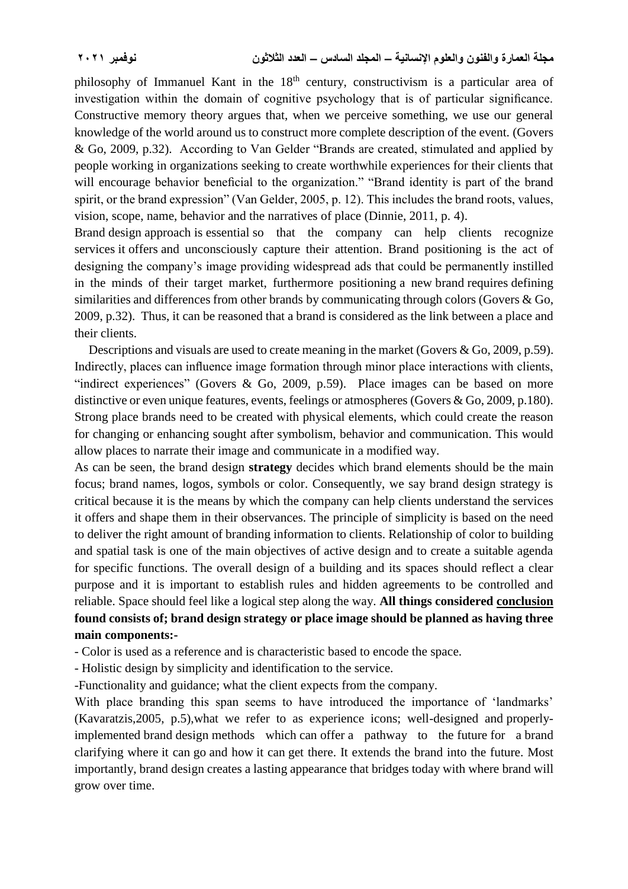philosophy of Immanuel Kant in the 18<sup>th</sup> century, constructivism is a particular area of investigation within the domain of cognitive psychology that is of particular significance. Constructive memory theory argues that, when we perceive something, we use our general knowledge of the world around us to construct more complete description of the event. (Govers & Go, 2009, p.32). According to Van Gelder "Brands are created, stimulated and applied by people working in organizations seeking to create worthwhile experiences for their clients that will encourage behavior beneficial to the organization." "Brand identity is part of the brand spirit, or the brand expression" (Van Gelder, 2005, p. 12). This includes the brand roots, values, vision, scope, name, behavior and the narratives of place (Dinnie, 2011, p. 4).

Brand design approach is essential so that the company can help clients recognize services it offers and unconsciously capture their attention. Brand positioning is the act of designing the company's image providing widespread ads that could be permanently instilled in the minds of their target market, furthermore positioning a new brand requires defining similarities and differences from other brands by communicating through colors (Govers & Go, 2009, p.32). Thus, it can be reasoned that a brand is considered as the link between a place and their clients.

Descriptions and visuals are used to create meaning in the market (Govers & Go, 2009, p.59). Indirectly, places can influence image formation through minor place interactions with clients, "indirect experiences" (Govers & Go, 2009, p.59). Place images can be based on more distinctive or even unique features, events, feelings or atmospheres (Govers & Go, 2009, p.180). Strong place brands need to be created with physical elements, which could create the reason for changing or enhancing sought after symbolism, behavior and communication. This would allow places to narrate their image and communicate in a modified way.

As can be seen, the brand design **strategy** decides which brand elements should be the main focus; brand names, logos, symbols or color. Consequently, we say brand design strategy is critical because it is the means by which the company can help clients understand the services it offers and shape them in their observances. The principle of simplicity is based on the need to deliver the right amount of branding information to clients. Relationship of color to building and spatial task is one of the main objectives of active design and to create a suitable agenda for specific functions. The overall design of a building and its spaces should reflect a clear purpose and it is important to establish rules and hidden agreements to be controlled and reliable. Space should feel like a logical step along the way. **All things considered conclusion found consists of; brand design strategy or place image should be planned as having three main components:-**

- Color is used as a reference and is characteristic based to encode the space.

- Holistic design by simplicity and identification to the service.

-Functionality and guidance; what the client expects from the company.

With place branding this span seems to have introduced the importance of 'landmarks' (Kavaratzis,2005, p.5),what we refer to as experience icons; well-designed and properlyimplemented brand design methods which can offer a pathway to the future for a brand clarifying where it can go and how it can get there. It extends the brand into the future. Most importantly, brand design creates a lasting appearance that bridges today with where brand will grow over time.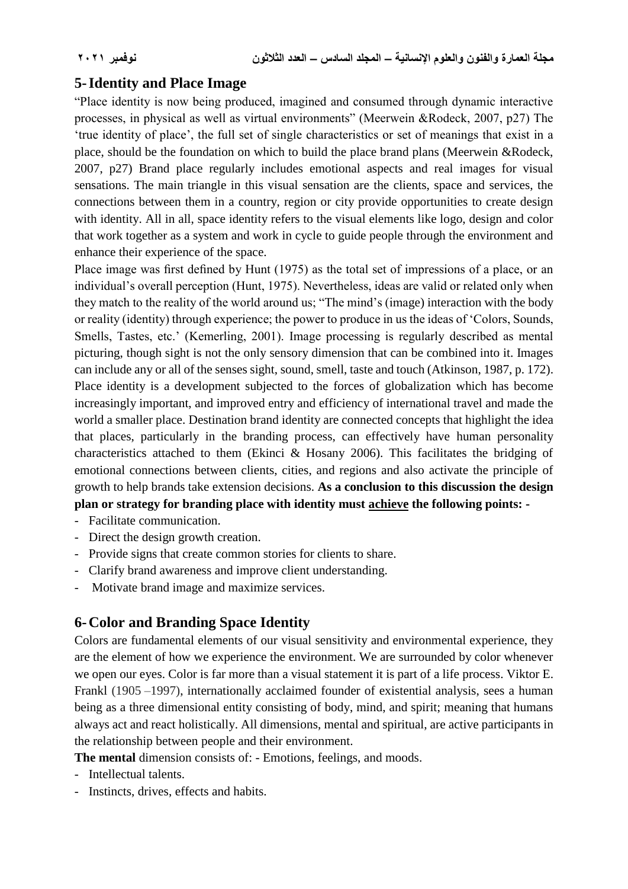## **5-Identity and Place Image**

"Place identity is now being produced, imagined and consumed through dynamic interactive processes, in physical as well as virtual environments" (Meerwein &Rodeck, 2007, p27) The 'true identity of place', the full set of single characteristics or set of meanings that exist in a place, should be the foundation on which to build the place brand plans (Meerwein &Rodeck, 2007, p27) Brand place regularly includes emotional aspects and real images for visual sensations. The main triangle in this visual sensation are the clients, space and services, the connections between them in a country, region or city provide opportunities to create design with identity. All in all, space identity refers to the visual elements like logo, design and color that work together as a system and work in cycle to guide people through the environment and enhance their experience of the space.

Place image was first defined by Hunt (1975) as the total set of impressions of a place, or an individual's overall perception (Hunt, 1975). Nevertheless, ideas are valid or related only when they match to the reality of the world around us; "The mind's (image) interaction with the body or reality (identity) through experience; the power to produce in us the ideas of 'Colors, Sounds, Smells, Tastes, etc.' (Kemerling, 2001). Image processing is regularly described as mental picturing, though sight is not the only sensory dimension that can be combined into it. Images can include any or all of the senses sight, sound, smell, taste and touch (Atkinson, 1987, p. 172). Place identity is a development subjected to the forces of globalization which has become increasingly important, and improved entry and efficiency of international travel and made the world a smaller place. Destination brand identity are connected concepts that highlight the idea that places, particularly in the branding process, can effectively have human personality characteristics attached to them (Ekinci & Hosany 2006). This facilitates the bridging of emotional connections between clients, cities, and regions and also activate the principle of growth to help brands take extension decisions. **As a conclusion to this discussion the design plan or strategy for branding place with identity must achieve the following points: -**

- Facilitate communication.
- Direct the design growth creation.
- Provide signs that create common stories for clients to share.
- Clarify brand awareness and improve client understanding.
- Motivate brand image and maximize services.

## **6-Color and Branding Space Identity**

Colors are fundamental elements of our visual sensitivity and environmental experience, they are the element of how we experience the environment. We are surrounded by color whenever we open our eyes. Color is far more than a visual statement it is part of a life process. Viktor E. Frankl (1905 –1997), internationally acclaimed founder of existential analysis, sees a human being as a three dimensional entity consisting of body, mind, and spirit; meaning that humans always act and react holistically. All dimensions, mental and spiritual, are active participants in the relationship between people and their environment.

**The mental** dimension consists of: - Emotions, feelings, and moods.

- Intellectual talents.
- Instincts, drives, effects and habits.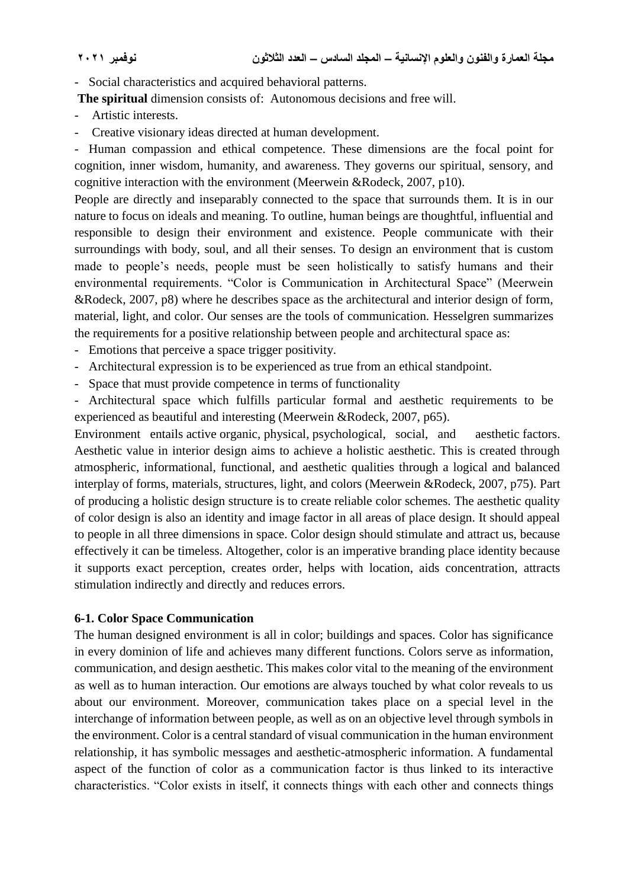- Social characteristics and acquired behavioral patterns.

**The spiritual** dimension consists of: Autonomous decisions and free will.

- Artistic interests.
- Creative visionary ideas directed at human development.

- Human compassion and ethical competence. These dimensions are the focal point for cognition, inner wisdom, humanity, and awareness. They governs our spiritual, sensory, and cognitive interaction with the environment (Meerwein &Rodeck, 2007, p10).

People are directly and inseparably connected to the space that surrounds them. It is in our nature to focus on ideals and meaning. To outline, human beings are thoughtful, influential and responsible to design their environment and existence. People communicate with their surroundings with body, soul, and all their senses. To design an environment that is custom made to people's needs, people must be seen holistically to satisfy humans and their environmental requirements. "Color is Communication in Architectural Space" (Meerwein &Rodeck, 2007, p8) where he describes space as the architectural and interior design of form, material, light, and color. Our senses are the tools of communication. Hesselgren summarizes the requirements for a positive relationship between people and architectural space as:

- Emotions that perceive a space trigger positivity.
- Architectural expression is to be experienced as true from an ethical standpoint.
- Space that must provide competence in terms of functionality

- Architectural space which fulfills particular formal and aesthetic requirements to be experienced as beautiful and interesting (Meerwein &Rodeck, 2007, p65).

Environment entails active organic, physical, psychological, social, and aesthetic factors. Aesthetic value in interior design aims to achieve a holistic aesthetic. This is created through atmospheric, informational, functional, and aesthetic qualities through a logical and balanced interplay of forms, materials, structures, light, and colors (Meerwein &Rodeck, 2007, p75). Part of producing a holistic design structure is to create reliable color schemes. The aesthetic quality of color design is also an identity and image factor in all areas of place design. It should appeal to people in all three dimensions in space. Color design should stimulate and attract us, because effectively it can be timeless. Altogether, color is an imperative branding place identity because it supports exact perception, creates order, helps with location, aids concentration, attracts stimulation indirectly and directly and reduces errors.

### **6-1. Color Space Communication**

The human designed environment is all in color; buildings and spaces. Color has significance in every dominion of life and achieves many different functions. Colors serve as information, communication, and design aesthetic. This makes color vital to the meaning of the environment as well as to human interaction. Our emotions are always touched by what color reveals to us about our environment. Moreover, communication takes place on a special level in the interchange of information between people, as well as on an objective level through symbols in the environment. Color is a central standard of visual communication in the human environment relationship, it has symbolic messages and aesthetic-atmospheric information. A fundamental aspect of the function of color as a communication factor is thus linked to its interactive characteristics. "Color exists in itself, it connects things with each other and connects things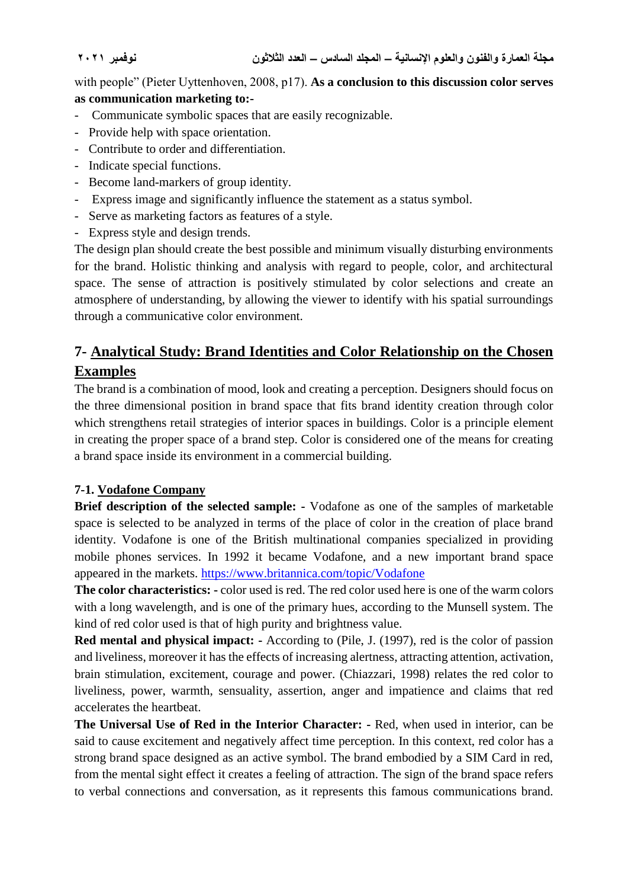with people" (Pieter Uyttenhoven, 2008, p17). **As a conclusion to this discussion color serves as communication marketing to:-** 

- Communicate symbolic spaces that are easily recognizable.
- Provide help with space orientation.
- Contribute to order and differentiation.
- Indicate special functions.
- Become land-markers of group identity.
- Express image and significantly influence the statement as a status symbol.
- Serve as marketing factors as features of a style.
- Express style and design trends.

The design plan should create the best possible and minimum visually disturbing environments for the brand. Holistic thinking and analysis with regard to people, color, and architectural space. The sense of attraction is positively stimulated by color selections and create an atmosphere of understanding, by allowing the viewer to identify with his spatial surroundings through a communicative color environment.

# **7- Analytical Study: Brand Identities and Color Relationship on the Chosen Examples**

The brand is a combination of mood, look and creating a perception. Designers should focus on the three dimensional position in brand space that fits brand identity creation through color which strengthens retail strategies of interior spaces in buildings. Color is a principle element in creating the proper space of a brand step. Color is considered one of the means for creating a brand space inside its environment in a commercial building.

## **7-1. Vodafone Company**

**Brief description of the selected sample: -** Vodafone as one of the samples of marketable space is selected to be analyzed in terms of the place of color in the creation of place brand identity. Vodafone is one of the British multinational companies specialized in providing mobile phones services. In 1992 it became Vodafone, and a new important brand space appeared in the markets.<https://www.britannica.com/topic/Vodafone>

**The color characteristics: -** color used is red. The red color used here is one of the warm colors with a long wavelength, and is one of the primary hues, according to the Munsell system. The kind of red color used is that of high purity and brightness value.

**Red mental and physical impact: -** According to (Pile, J. (1997), red is the color of passion and liveliness, moreover it has the effects of increasing alertness, attracting attention, activation, brain stimulation, excitement, courage and power. (Chiazzari, 1998) relates the red color to liveliness, power, warmth, sensuality, assertion, anger and impatience and claims that red accelerates the heartbeat.

**The Universal Use of Red in the Interior Character: -** Red, when used in interior, can be said to cause excitement and negatively affect time perception. In this context, red color has a strong brand space designed as an active symbol. The brand embodied by a SIM Card in red, from the mental sight effect it creates a feeling of attraction. The sign of the brand space refers to verbal connections and conversation, as it represents this famous communications brand.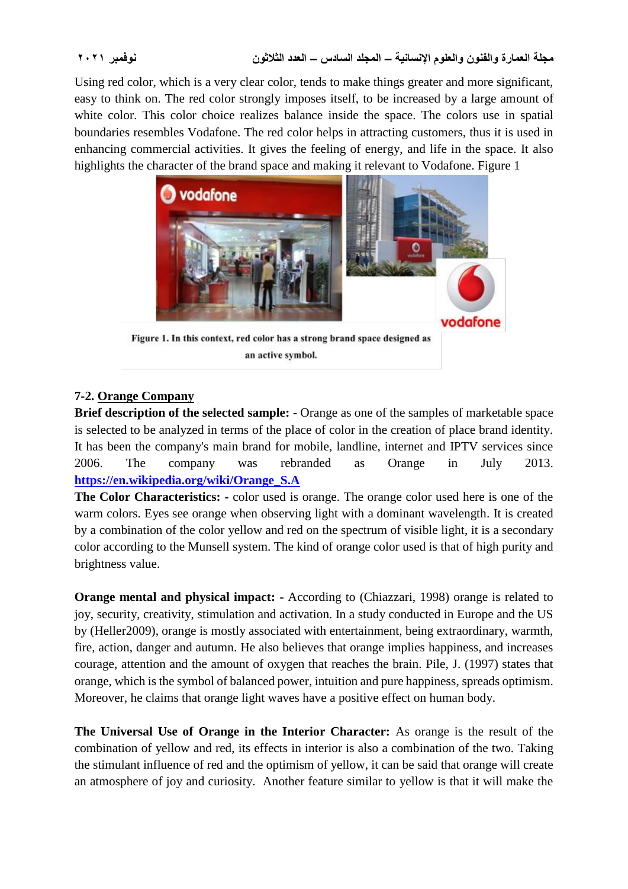Using red color, which is a very clear color, tends to make things greater and more significant, easy to think on. The red color strongly imposes itself, to be increased by a large amount of white color. This color choice realizes balance inside the space. The colors use in spatial boundaries resembles Vodafone. The red color helps in attracting customers, thus it is used in enhancing commercial activities. It gives the feeling of energy, and life in the space. It also highlights the character of the brand space and making it relevant to Vodafone. Figure 1



Figure 1. In this context, red color has a strong brand space designed as an active symbol.

## **7-2. Orange Company**

**Brief description of the selected sample: -** Orange as one of the samples of marketable space is selected to be analyzed in terms of the place of color in the creation of place brand identity. It has been the company's main brand for mobile, landline, internet and IPTV services since 2006. The company was rebranded as Orange in July 2013. **[https://en.wikipedia.org/wiki/Orange\\_S.A](https://en.wikipedia.org/wiki/Orange_S.A)**

**The Color Characteristics: -** color used is orange. The orange color used here is one of the warm colors. [Eyes](https://en.wikipedia.org/wiki/Human_eyes) see orange when observing light with a [dominant wavelength.](https://en.wikipedia.org/wiki/Dominant_wavelength) It is created by a combination of the color [yellow](https://en.wikipedia.org/wiki/Yellow) and [red](https://en.wikipedia.org/wiki/Red) on the [spectrum](https://en.wikipedia.org/wiki/Optical_spectrum) of [visible light,](https://en.wikipedia.org/wiki/Visible_light) it is a secondary color according to the Munsell system. The kind of orange color used is that of high purity and brightness value.

**Orange mental and physical impact:** - According to (Chiazzari, 1998) orange is related to joy, security, creativity, stimulation and activation. In a study conducted in Europe and the US by (Heller2009), orange is mostly associated with entertainment, being extraordinary, warmth, fire, action, danger and autumn. He also believes that orange implies happiness, and increases courage, attention and the amount of oxygen that reaches the brain. Pile, J. (1997) states that orange, which is the symbol of balanced power, intuition and pure happiness, spreads optimism. Moreover, he claims that orange light waves have a positive effect on human body.

**The Universal Use of Orange in the Interior Character:** As orange is the result of the combination of yellow and red, its effects in interior is also a combination of the two. Taking the stimulant influence of red and the optimism of yellow, it can be said that orange will create an atmosphere of joy and curiosity. Another feature similar to yellow is that it will make the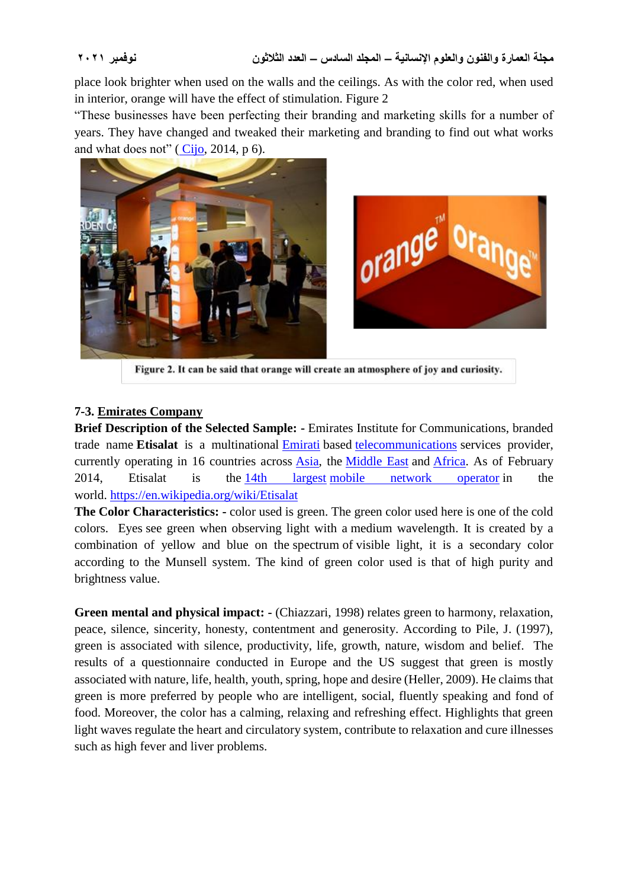place look brighter when used on the walls and the ceilings. As with the color red, when used in interior, orange will have the effect of stimulation. Figure 2

"These businesses have been perfecting their branding and marketing skills for a number of years. They have changed and tweaked their marketing and branding to find out what works and what does not"  $(Cijo, 2014, p 6)$  $(Cijo, 2014, p 6)$  $(Cijo, 2014, p 6)$ .



Figure 2. It can be said that orange will create an atmosphere of joy and curiosity.

### **7-3. Emirates Company**

**Brief Description of the Selected Sample: -** Emirates Institute for Communications, branded trade name **Etisalat** is a multinational [Emirati](https://en.wikipedia.org/wiki/UAE) based [telecommunications](https://en.wikipedia.org/wiki/Telecommunications) services provider, currently operating in 16 countries across [Asia,](https://en.wikipedia.org/wiki/Asia) the [Middle East](https://en.wikipedia.org/wiki/Middle_East) and [Africa.](https://en.wikipedia.org/wiki/Africa) As of February 2014, Etisalat is the [14th largest](https://en.wikipedia.org/wiki/List_of_mobile_network_operators) [mobile network operator](https://en.wikipedia.org/wiki/Mobile_network_operator) in the world. <https://en.wikipedia.org/wiki/Etisalat>

**The Color Characteristics: -** color used is green. The green color used here is one of the cold colors. [Eyes](https://en.wikipedia.org/wiki/Human_eyes) see green when observing light with a [medium wavelength.](https://en.wikipedia.org/wiki/Dominant_wavelength) It is created by a combination of yellow and blue on the [spectrum](https://en.wikipedia.org/wiki/Optical_spectrum) of [visible light,](https://en.wikipedia.org/wiki/Visible_light) it is a secondary color according to the Munsell system. The kind of green color used is that of high purity and brightness value.

**Green mental and physical impact: -** (Chiazzari, 1998) relates green to harmony, relaxation, peace, silence, sincerity, honesty, contentment and generosity. According to Pile, J. (1997), green is associated with silence, productivity, life, growth, nature, wisdom and belief. The results of a questionnaire conducted in Europe and the US suggest that green is mostly associated with nature, life, health, youth, spring, hope and desire (Heller, 2009). He claims that green is more preferred by people who are intelligent, social, fluently speaking and fond of food. Moreover, the color has a calming, relaxing and refreshing effect. Highlights that green light waves regulate the heart and circulatory system, contribute to relaxation and cure illnesses such as high fever and liver problems.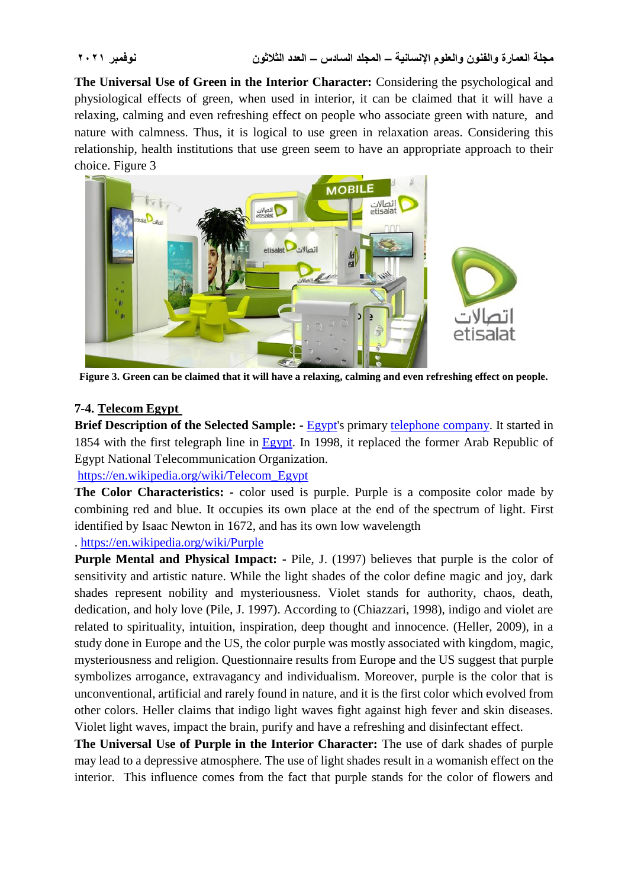**The Universal Use of Green in the Interior Character:** Considering the psychological and physiological effects of green, when used in interior, it can be claimed that it will have a relaxing, calming and even refreshing effect on people who associate green with nature, and nature with calmness. Thus, it is logical to use green in relaxation areas. Considering this relationship, health institutions that use green seem to have an appropriate approach to their choice. Figure 3



**Figure 3. Green can be claimed that it will have a relaxing, calming and even refreshing effect on people.**

### **7-4. Telecom Egypt**

**Brief Description of the Selected Sample: -** [Egypt's](https://en.wikipedia.org/wiki/Egypt) primary [telephone company.](https://en.wikipedia.org/wiki/Telephone_company) It started in 1854 with the first telegraph line in [Egypt.](https://en.wikipedia.org/wiki/Egypt) In 1998, it replaced the former Arab Republic of Egypt National Telecommunication Organization.

[https://en.wikipedia.org/wiki/Telecom\\_Egypt](https://en.wikipedia.org/wiki/Telecom_Egypt)

**The Color Characteristics: -** color used is purple. Purple is a composite color made by combining red and blue. It occupies its own place at the end of the [spectrum of light.](https://en.wikipedia.org/wiki/Spectrum_of_light) First identified by [Isaac Newton](https://en.wikipedia.org/wiki/Isaac_Newton) in 1672, and has its own low wavelength

### . <https://en.wikipedia.org/wiki/Purple>

**Purple Mental and Physical Impact: -** Pile, J. (1997) believes that purple is the color of sensitivity and artistic nature. While the light shades of the color define magic and joy, dark shades represent nobility and mysteriousness. Violet stands for authority, chaos, death, dedication, and holy love (Pile, J. 1997). According to (Chiazzari, 1998), indigo and violet are related to spirituality, intuition, inspiration, deep thought and innocence. (Heller, 2009), in a study done in Europe and the US, the color purple was mostly associated with kingdom, magic, mysteriousness and religion. Questionnaire results from Europe and the US suggest that purple symbolizes arrogance, extravagancy and individualism. Moreover, purple is the color that is unconventional, artificial and rarely found in nature, and it is the first color which evolved from other colors. Heller claims that indigo light waves fight against high fever and skin diseases. Violet light waves, impact the brain, purify and have a refreshing and disinfectant effect.

**The Universal Use of Purple in the Interior Character:** The use of dark shades of purple may lead to a depressive atmosphere. The use of light shades result in a womanish effect on the interior. This influence comes from the fact that purple stands for the color of flowers and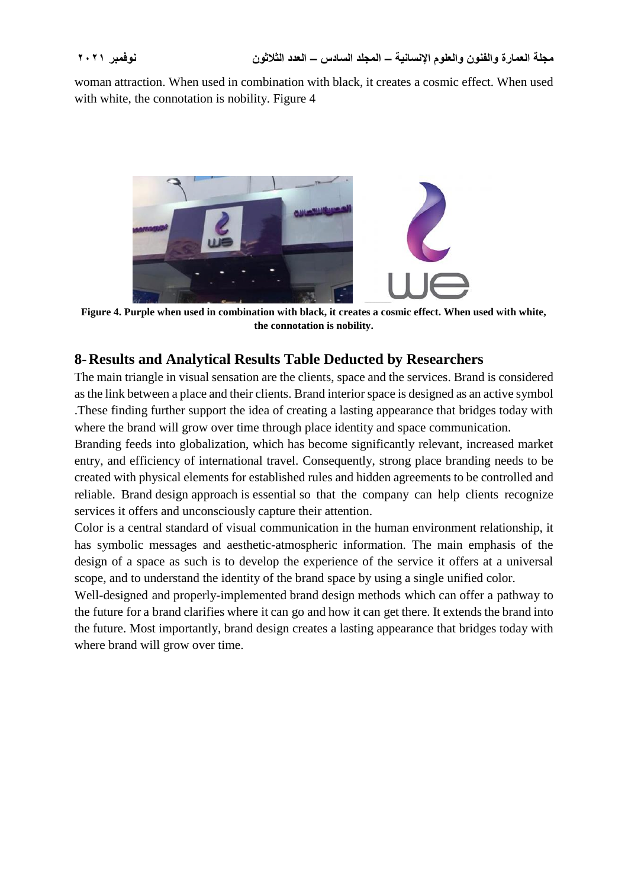woman attraction. When used in combination with black, it creates a cosmic effect. When used with white, the connotation is nobility. Figure 4



**Figure 4. Purple when used in combination with black, it creates a cosmic effect. When used with white, the connotation is nobility.**

## **8-Results and Analytical Results Table Deducted by Researchers**

The main triangle in visual sensation are the clients, space and the services. Brand is considered as the link between a place and their clients. Brand interior space is designed as an active symbol .These finding further support the idea of creating a lasting appearance that bridges today with where the brand will grow over time through place identity and space communication.

Branding feeds into globalization, which has become significantly relevant, increased market entry, and efficiency of international travel. Consequently, strong place branding needs to be created with physical elements for established rules and hidden agreements to be controlled and reliable. Brand design approach is essential so that the company can help clients recognize services it offers and unconsciously capture their attention.

Color is a central standard of visual communication in the human environment relationship, it has symbolic messages and aesthetic-atmospheric information. The main emphasis of the design of a space as such is to develop the experience of the service it offers at a universal scope, and to understand the identity of the brand space by using a single unified color.

Well-designed and properly-implemented brand design methods which can offer a pathway to the future for a brand clarifies where it can go and how it can get there. It extends the brand into the future. Most importantly, brand design creates a lasting appearance that bridges today with where brand will grow over time.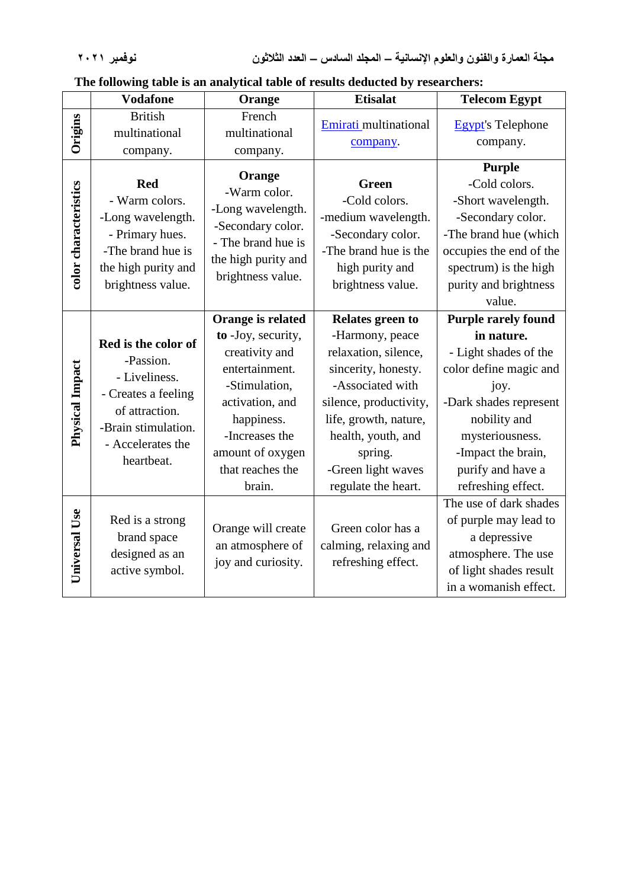|  | The following table is an analytical table of results deducted by researchers: |  |  |  |
|--|--------------------------------------------------------------------------------|--|--|--|
|  |                                                                                |  |  |  |

|                       | <b>Vodafone</b>                                                                                                                                      | Orange                                                                                                                                                                                            | <b>Etisalat</b>                                                                                                                                                                                                                         | <b>Telecom Egypt</b>                                                                                                                                                                                                              |
|-----------------------|------------------------------------------------------------------------------------------------------------------------------------------------------|---------------------------------------------------------------------------------------------------------------------------------------------------------------------------------------------------|-----------------------------------------------------------------------------------------------------------------------------------------------------------------------------------------------------------------------------------------|-----------------------------------------------------------------------------------------------------------------------------------------------------------------------------------------------------------------------------------|
| Origins               | <b>British</b><br>multinational<br>company.                                                                                                          | French<br>multinational<br>company.                                                                                                                                                               | Emirati multinational<br>company.                                                                                                                                                                                                       | <b>Egypt's Telephone</b><br>company.                                                                                                                                                                                              |
| color characteristics | <b>Red</b><br>- Warm colors.<br>-Long wavelength.<br>- Primary hues.<br>-The brand hue is<br>the high purity and<br>brightness value.                | Orange<br>-Warm color.<br>-Long wavelength.<br>-Secondary color.<br>- The brand hue is<br>the high purity and<br>brightness value.                                                                | <b>Green</b><br>-Cold colors.<br>-medium wavelength.<br>-Secondary color.<br>-The brand hue is the<br>high purity and<br>brightness value.                                                                                              | <b>Purple</b><br>-Cold colors.<br>-Short wavelength.<br>-Secondary color.<br>-The brand hue (which<br>occupies the end of the<br>spectrum) is the high<br>purity and brightness<br>value.                                         |
| Physical Impact       | Red is the color of<br>-Passion.<br>- Liveliness.<br>- Creates a feeling<br>of attraction.<br>-Brain stimulation.<br>- Accelerates the<br>heartbeat. | Orange is related<br>to -Joy, security,<br>creativity and<br>entertainment.<br>-Stimulation,<br>activation, and<br>happiness.<br>-Increases the<br>amount of oxygen<br>that reaches the<br>brain. | Relates green to<br>-Harmony, peace<br>relaxation, silence,<br>sincerity, honesty.<br>-Associated with<br>silence, productivity,<br>life, growth, nature,<br>health, youth, and<br>spring.<br>-Green light waves<br>regulate the heart. | <b>Purple rarely found</b><br>in nature.<br>- Light shades of the<br>color define magic and<br>joy.<br>-Dark shades represent<br>nobility and<br>mysteriousness.<br>-Impact the brain,<br>purify and have a<br>refreshing effect. |
| Universal Use         | Red is a strong<br>brand space<br>designed as an<br>active symbol.                                                                                   | Orange will create<br>an atmosphere of<br>joy and curiosity.                                                                                                                                      | Green color has a<br>calming, relaxing and<br>refreshing effect.                                                                                                                                                                        | The use of dark shades<br>of purple may lead to<br>a depressive<br>atmosphere. The use<br>of light shades result<br>in a womanish effect.                                                                                         |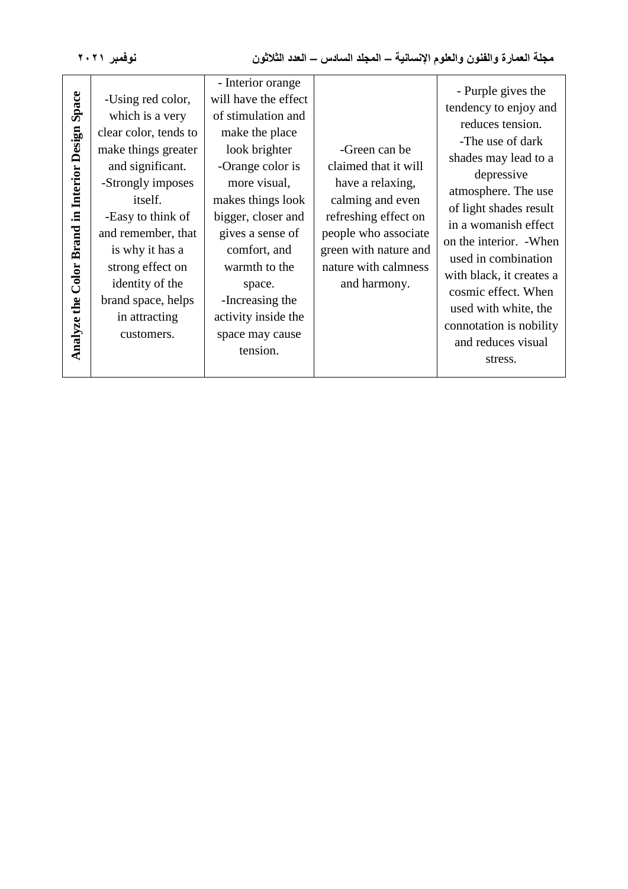| نوفمبر ۲۰۲۱                                      |                                                                                                                                                                                                                                                                                                    | مجلة العمارة والفنون والعلوم الإنسانية – المجلد السادس – العدد الثلاثون                                                                                                                                                                                                                                                   |                                                                                                                                                                                                |                                                                                                                                                                                                                                                                                                                                                                                             |  |
|--------------------------------------------------|----------------------------------------------------------------------------------------------------------------------------------------------------------------------------------------------------------------------------------------------------------------------------------------------------|---------------------------------------------------------------------------------------------------------------------------------------------------------------------------------------------------------------------------------------------------------------------------------------------------------------------------|------------------------------------------------------------------------------------------------------------------------------------------------------------------------------------------------|---------------------------------------------------------------------------------------------------------------------------------------------------------------------------------------------------------------------------------------------------------------------------------------------------------------------------------------------------------------------------------------------|--|
| Analyze the Color Brand in Interior Design Space | -Using red color,<br>which is a very<br>clear color, tends to<br>make things greater<br>and significant.<br>-Strongly imposes<br>itself.<br>-Easy to think of<br>and remember, that<br>is why it has a<br>strong effect on<br>identity of the<br>brand space, helps<br>in attracting<br>customers. | - Interior orange<br>will have the effect<br>of stimulation and<br>make the place<br>look brighter<br>-Orange color is<br>more visual,<br>makes things look<br>bigger, closer and<br>gives a sense of<br>comfort, and<br>warmth to the<br>space.<br>-Increasing the<br>activity inside the<br>space may cause<br>tension. | -Green can be<br>claimed that it will<br>have a relaxing,<br>calming and even<br>refreshing effect on<br>people who associate<br>green with nature and<br>nature with calmness<br>and harmony. | - Purple gives the<br>tendency to enjoy and<br>reduces tension.<br>-The use of dark<br>shades may lead to a<br>depressive<br>atmosphere. The use<br>of light shades result<br>in a womanish effect<br>on the interior. - When<br>used in combination<br>with black, it creates a<br>cosmic effect. When<br>used with white, the<br>connotation is nobility<br>and reduces visual<br>stress. |  |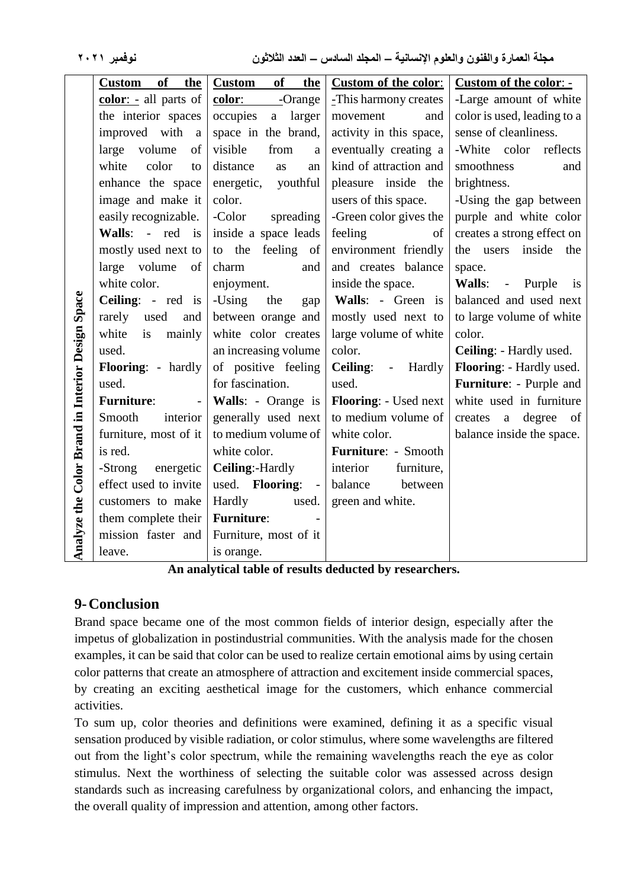| نوفمبر ۲۰۲۱                                      |                                   | مجلَّة العمارة والفنون والعلوم الإنسانية – المجلد السادس – العدد الثلاثون |                             |                             |  |  |
|--------------------------------------------------|-----------------------------------|---------------------------------------------------------------------------|-----------------------------|-----------------------------|--|--|
|                                                  | <b>of</b><br><b>Custom</b><br>the | <b>of</b><br><b>Custom</b><br><u>the</u>                                  | <b>Custom of the color:</b> | Custom of the color: -      |  |  |
|                                                  | color: - all parts of             | color: -Orange                                                            | -This harmony creates       | -Large amount of white      |  |  |
|                                                  | the interior spaces               | occupies<br>a larger                                                      | movement<br>and             | color is used, leading to a |  |  |
|                                                  | improved with<br>a                | space in the brand,                                                       | activity in this space,     | sense of cleanliness.       |  |  |
|                                                  | large<br>volume<br>of             | visible<br>from<br>a                                                      | eventually creating a       | -White color<br>reflects    |  |  |
|                                                  | white<br>color<br>to              | distance<br>as<br>an                                                      | kind of attraction and      | smoothness<br>and           |  |  |
|                                                  | enhance the space                 | energetic,<br>youthful                                                    | pleasure inside the         | brightness.                 |  |  |
|                                                  | image and make it                 | color.                                                                    | users of this space.        | -Using the gap between      |  |  |
|                                                  | easily recognizable.              | -Color<br>spreading                                                       | -Green color gives the      | purple and white color      |  |  |
|                                                  | Walls: - red is                   | inside a space leads                                                      | feeling<br>of               | creates a strong effect on  |  |  |
|                                                  | mostly used next to               | to the feeling of                                                         | environment friendly        | the users inside the        |  |  |
|                                                  | large volume<br>of                | charm<br>and                                                              | and creates balance         | space.                      |  |  |
|                                                  | white color.                      | enjoyment.                                                                | inside the space.           | Walls: - Purple<br>is       |  |  |
|                                                  | Ceiling: - red is                 | -Using<br>the<br>gap                                                      | Walls: - Green is           | balanced and used next      |  |  |
|                                                  | rarely<br>used<br>and             | between orange and                                                        | mostly used next to         | to large volume of white    |  |  |
|                                                  | white<br>mainly<br>is             | white color creates                                                       | large volume of white       | color.                      |  |  |
|                                                  | used.                             | an increasing volume                                                      | color.                      | Ceiling: - Hardly used.     |  |  |
| Analyze the Color Brand in Interior Design Space | Flooring: - hardly                | of positive feeling                                                       | Ceiling: - Hardly           | Flooring: - Hardly used.    |  |  |
|                                                  | used.                             | for fascination.                                                          | used.                       | Furniture: - Purple and     |  |  |
|                                                  | <b>Furniture:</b>                 | Walls: - Orange is                                                        | Flooring: - Used next       | white used in furniture     |  |  |
|                                                  | Smooth<br>interior                | generally used next                                                       | to medium volume of         | creates a degree of         |  |  |
|                                                  | furniture, most of it             | to medium volume of                                                       | white color.                | balance inside the space.   |  |  |
|                                                  | is red.                           | white color.                                                              | Furniture: - Smooth         |                             |  |  |
|                                                  | -Strong<br>energetic              | Ceiling:-Hardly                                                           | furniture,<br>interior      |                             |  |  |
|                                                  | effect used to invite             | used. Flooring: -                                                         | balance<br>between          |                             |  |  |
|                                                  | customers to make                 | Hardly<br>used.                                                           | green and white.            |                             |  |  |
|                                                  | them complete their               | <b>Furniture:</b>                                                         |                             |                             |  |  |
|                                                  | mission faster and                | Furniture, most of it                                                     |                             |                             |  |  |
|                                                  | leave.                            | is orange.                                                                |                             |                             |  |  |

**An analytical table of results deducted by researchers.**

## **9-Conclusion**

Brand space became one of the most common fields of interior design, especially after the impetus of globalization in postindustrial communities. With the analysis made for the chosen examples, it can be said that color can be used to realize certain emotional aims by using certain color patterns that create an atmosphere of attraction and excitement inside commercial spaces, by creating an exciting aesthetical image for the customers, which enhance commercial activities.

To sum up, color theories and definitions were examined, defining it as a specific visual sensation produced by visible radiation, or color stimulus, where some wavelengths are filtered out from the light's color spectrum, while the remaining wavelengths reach the eye as color stimulus. Next the worthiness of selecting the suitable color was assessed across design standards such as increasing carefulness by organizational colors, and enhancing the impact, the overall quality of impression and attention, among other factors.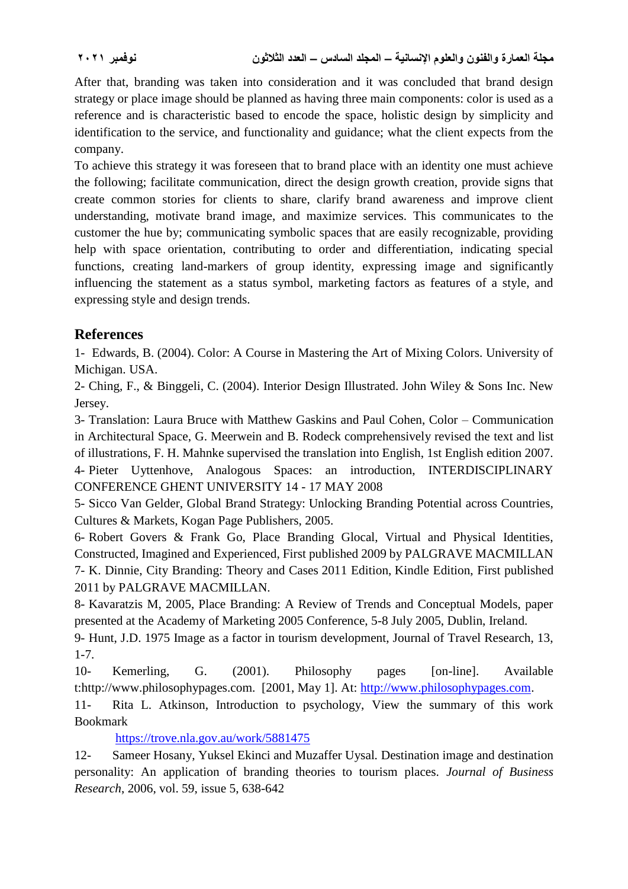After that, branding was taken into consideration and it was concluded that brand design strategy or place image should be planned as having three main components: color is used as a reference and is characteristic based to encode the space, holistic design by simplicity and identification to the service, and functionality and guidance; what the client expects from the company.

To achieve this strategy it was foreseen that to brand place with an identity one must achieve the following; facilitate communication, direct the design growth creation, provide signs that create common stories for clients to share, clarify brand awareness and improve client understanding, motivate brand image, and maximize services. This communicates to the customer the hue by; communicating symbolic spaces that are easily recognizable, providing help with space orientation, contributing to order and differentiation, indicating special functions, creating land-markers of group identity, expressing image and significantly influencing the statement as a status symbol, marketing factors as features of a style, and expressing style and design trends.

## **References**

1- Edwards, B. (2004). Color: A Course in Mastering the Art of Mixing Colors. University of Michigan. USA.

2- Ching, F., & Binggeli, C. (2004). Interior Design Illustrated. John Wiley & Sons Inc. New Jersey.

3- Translation: Laura Bruce with Matthew Gaskins and Paul Cohen, Color – Communication in Architectural Space, G. Meerwein and B. Rodeck comprehensively revised the text and list of illustrations, F. H. Mahnke supervised the translation into English, 1st English edition 2007. 4- Pieter Uyttenhove, Analogous Spaces: an introduction, INTERDISCIPLINARY CONFERENCE GHENT UNIVERSITY 14 - 17 MAY 2008

5- [Sicco Van Gelder,](https://www.google.com.eg/search?tbo=p&tbm=bks&q=inauthor:%22Sicco+Van+Gelder%22) Global Brand Strategy: Unlocking Branding Potential across Countries, Cultures & Markets, Kogan Page Publishers, 2005.

6- Robert Govers & Frank Go, Place Branding Glocal, Virtual and Physical Identities, Constructed, Imagined and Experienced, First published 2009 by PALGRAVE MACMILLAN 7- [K. Dinnie,](https://www.amazon.com/s/ref=dp_byline_sr_ebooks_1?ie=UTF8&text=K.+Dinnie&search-alias=digital-text&field-author=K.+Dinnie&sort=relevancerank) City Branding: Theory and Cases 2011 Edition, Kindle Edition, First published 2011 by PALGRAVE MACMILLAN.

8- Kavaratzis M, 2005, Place Branding: A Review of Trends and Conceptual Models, paper presented at the Academy of Marketing 2005 Conference, 5-8 July 2005, Dublin, Ireland.

9- Hunt, J.D. 1975 Image as a factor in tourism development, Journal of Travel Research, 13, 1-7.

10- Kemerling, G. (2001). Philosophy pages [on-line]. Available t:http://www.philosophypages.com. [2001, May 1]. At: [http://www.philosophypages.com.](http://www.philosophypages.com/)

11- Rita L. Atkinson, Introduction to psychology, [View the summary of this work](https://trove.nla.gov.au/work/5881475) Bookmark

<https://trove.nla.gov.au/work/5881475>

12- Sameer Hosany, Yuksel Ekinci and Muzaffer Uysal*.* Destination image and destination personality: An application of branding theories to tourism places. *[Journal of Business](https://econpapers.repec.org/article/eeejbrese/)  [Research](https://econpapers.repec.org/article/eeejbrese/)*, 2006, vol. 59, issue 5, 638-642